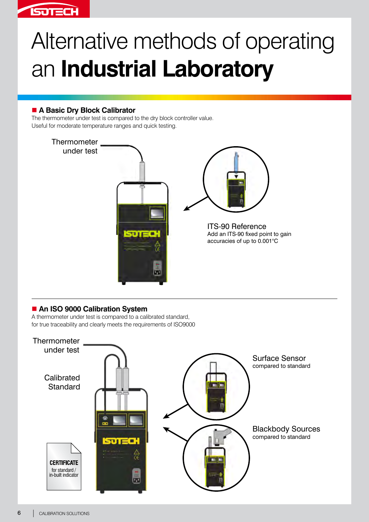

# Alternative methods of operating an **Industrial Laboratory**

### ■ A Basic Dry Block Calibrator

The thermometer under test is compared to the dry block controller value. Useful for moderate temperature ranges and quick testing.



## ■ An ISO 9000 Calibration System

A thermometer under test is compared to a calibrated standard, for true traceability and clearly meets the requirements of ISO9000